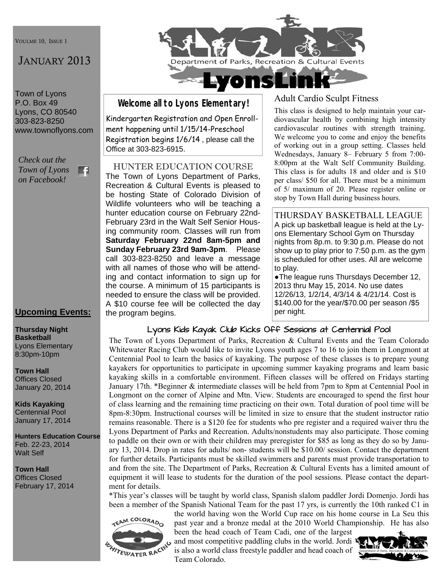VOULME 10, ISSUE 1

# JANUARY 2013

Town of Lyons P.O. Box 49 Lyons, CO 80540 303-823-8250 www.townoflyons.com

*Check out the Town of Lyons*  m *on Facebook!* 

## **Upcoming Events:**

#### **Thursday Night Basketball**  Lyons Elementary 8:30pm-10pm

**Town Hall**  Offices Closed January 20, 2014

**Kids Kayaking**  Centennial Pool January 17, 2014

**Hunters Education Course**  Feb. 22-23, 2014 Walt Self

**Town Hall** 

Offices Closed February 17, 2014



**Welcome all to Lyons Elementary!** 

Kindergarten Registration and Open Enrollment happening until 1/15/14-Preschool Registration begins 1/6/14 , please call the Office at 303-823-6915.

HUNTER EDUCATION COURSE The Town of Lyons Department of Parks, Recreation & Cultural Events is pleased to be hosting State of Colorado Division of Wildlife volunteers who will be teaching a hunter education course on February 22nd-February 23rd in the Walt Self Senior Housing community room. Classes will run from **Saturday February 22nd 8am-5pm and Sunday February 23rd 9am-3pm**. Please call 303-823-8250 and leave a message with all names of those who will be attending and contact information to sign up for the course. A minimum of 15 participants is needed to ensure the class will be provided. A \$10 course fee will be collected the day the program begins.

# Adult Cardio Sculpt Fitness

This class is designed to help maintain your cardiovascular health by combining high intensity cardiovascular routines with strength training. We welcome you to come and enjoy the benefits of working out in a group setting. Classes held Wednesdays, January 8– February 5 from 7:00- 8:00pm at the Walt Self Community Building. This class is for adults 18 and older and is \$10 per class/ \$50 for all. There must be a minimum of 5/ maximum of 20. Please register online or stop by Town Hall during business hours.

THURSDAY BASKETBALL LEAGUE A pick up basketball league is held at the Lyons Elementary School Gym on Thursday nights from 8p.m. to 9:30 p.m. Please do not show up to play prior to 7:50 p.m. as the gym is scheduled for other uses. All are welcome to play.

●The league runs Thursdays December 12, 2013 thru May 15, 2014. No use dates 12/26/13, 1/2/14, 4/3/14 & 4/21/14. Cost is \$140.00 for the year/\$70.00 per season /\$5 per night.

## Lyons Kids Kayak Club Kicks Off Sessions at Centennial Pool

The Town of Lyons Department of Parks, Recreation & Cultural Events and the Team Colorado Whitewater Racing Club would like to invite Lyons youth ages 7 to 16 to join them in Longmont at Centennial Pool to learn the basics of kayaking. The purpose of these classes is to prepare young kayakers for opportunities to participate in upcoming summer kayaking programs and learn basic kayaking skills in a comfortable environment. Fifteen classes will be offered on Fridays starting January 17th. \*Beginner & intermediate classes will be held from 7pm to 8pm at Centennial Pool in Longmont on the corner of Alpine and Mtn. View. Students are encouraged to spend the first hour of class learning and the remaining time practicing on their own. Total duration of pool time will be 8pm-8:30pm. Instructional courses will be limited in size to ensure that the student instructor ratio remains reasonable. There is a \$120 fee for students who pre register and a required waiver thru the Lyons Department of Parks and Recreation. Adults/nonstudents may also participate. Those coming to paddle on their own or with their children may preregister for \$85 as long as they do so by January 13, 2014. Drop in rates for adults/ non- students will be \$10.00/ session. Contact the department for further details. Participants must be skilled swimmers and parents must provide transportation to and from the site. The Department of Parks, Recreation & Cultural Events has a limited amount of equipment it will lease to students for the duration of the pool sessions. Please contact the department for details.

\*This year's classes will be taught by world class, Spanish slalom paddler Jordi Domenjo. Jordi has been a member of the Spanish National Team for the past 17 yrs, is currently the 10th ranked C1 in



the world having won the World Cup race on his home course in La Seu this past year and a bronze medal at the 2010 World Championship. He has also been the head coach of Team Cadi, one of the largest

and most competitive paddling clubs in the world. Jordi  $\mathbf{K}$ is also a world class freestyle paddler and head coach of Team Colorado.